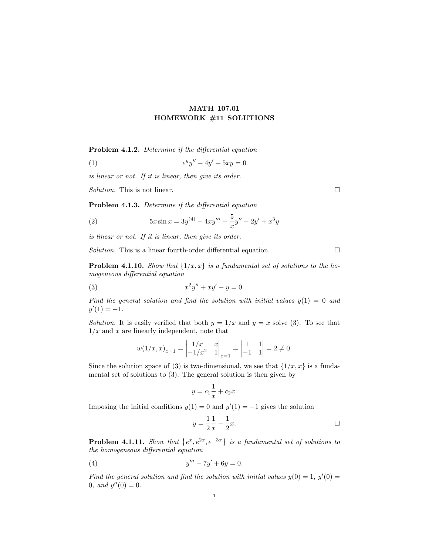## MATH 107.01 HOMEWORK #11 SOLUTIONS

Problem 4.1.2. Determine if the differential equation

(1) 
$$
e^y y'' - 4y' + 5xy = 0
$$

is linear or not. If it is linear, then give its order.

Solution. This is not linear.  $\Box$ 

Problem 4.1.3. Determine if the differential equation

(2) 
$$
5x\sin x = 3y^{(4)} - 4xy''' + \frac{5}{x}y'' - 2y' + x^3y
$$

is linear or not. If it is linear, then give its order.

Solution. This is a linear fourth-order differential equation.  $\Box$ 

**Problem 4.1.10.** Show that  $\{1/x, x\}$  is a fundamental set of solutions to the homogeneous differential equation

(3) 
$$
x^2y'' + xy' - y = 0.
$$

Find the general solution and find the solution with initial values  $y(1) = 0$  and  $y'(1) = -1.$ 

Solution. It is easily verified that both  $y = 1/x$  and  $y = x$  solve (3). To see that  $1/x$  and x are linearly independent, note that

$$
w(1/x, x)_{x=1} = \begin{vmatrix} 1/x & x \\ -1/x^2 & 1 \end{vmatrix}_{x=1} = \begin{vmatrix} 1 & 1 \\ -1 & 1 \end{vmatrix} = 2 \neq 0.
$$

Since the solution space of (3) is two-dimensional, we see that  $\{1/x, x\}$  is a fundamental set of solutions to (3). The general solution is then given by

$$
y = c_1 \frac{1}{x} + c_2 x.
$$

Imposing the initial conditions  $y(1) = 0$  and  $y'(1) = -1$  gives the solution

$$
y = \frac{1}{2} \frac{1}{x} - \frac{1}{2} x.
$$

**Problem 4.1.11.** Show that  $\{e^x, e^{2x}, e^{-3x}\}\$ is a fundamental set of solutions to the homogeneous differential equation

(4) 
$$
y''' - 7y' + 6y = 0.
$$

Find the general solution and find the solution with initial values  $y(0) = 1$ ,  $y'(0) = 1$ 0, and  $y''(0) = 0$ .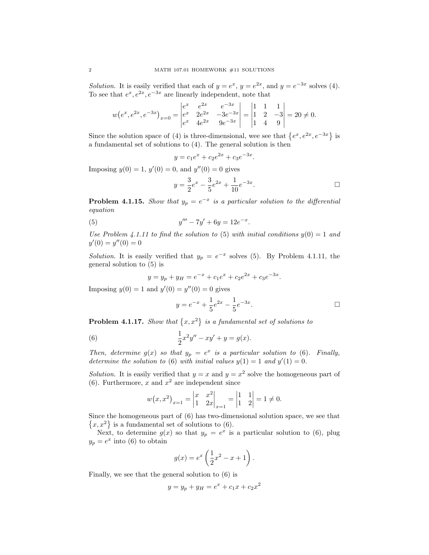*Solution*. It is easily verified that each of  $y = e^x$ ,  $y = e^{2x}$ , and  $y = e^{-3x}$  solves (4). To see that  $e^x, e^{2x}, e^{-3x}$  are linearly independent, note that

$$
w(e^x, e^{2x}, e^{-3x})_{x=0} = \begin{vmatrix} e^x & e^{2x} & e^{-3x} \\ e^x & 2e^{2x} & -3e^{-3x} \\ e^x & 4e^{2x} & 9e^{-3x} \end{vmatrix} = \begin{vmatrix} 1 & 1 & 1 \\ 1 & 2 & -3 \\ 1 & 4 & 9 \end{vmatrix} = 20 \neq 0.
$$

Since the solution space of (4) is three-dimensional, wee see that  $\{e^x, e^{2x}, e^{-3x}\}\$ is a fundamental set of solutions to (4). The general solution is then

$$
y = c_1 e^x + c_2 e^{2x} + c_3 e^{-3x}.
$$

Imposing  $y(0) = 1$ ,  $y'(0) = 0$ , and  $y''(0) = 0$  gives

$$
y = \frac{3}{2}e^x - \frac{3}{5}e^{2x} + \frac{1}{10}e^{-3x}.
$$

**Problem 4.1.15.** Show that  $y_p = e^{-x}$  is a particular solution to the differential equation

(5) 
$$
y''' - 7y' + 6y = 12e^{-x}.
$$

Use Problem 4.1.11 to find the solution to (5) with initial conditions  $y(0) = 1$  and  $y'(0) = y''(0) = 0$ 

Solution. It is easily verified that  $y_p = e^{-x}$  solves (5). By Problem 4.1.11, the general solution to (5) is

$$
y = y_p + y_H = e^{-x} + c_1 e^x + c_2 e^{2x} + c_3 e^{-3x}.
$$

Imposing  $y(0) = 1$  and  $y'(0) = y''(0) = 0$  gives

$$
y = e^{-x} + \frac{1}{5}e^{2x} - \frac{1}{5}e^{-3x}.
$$

**Problem 4.1.17.** Show that  $\{x, x^2\}$  is a fundamental set of solutions to

(6) 
$$
\frac{1}{2}x^2y'' - xy' + y = g(x).
$$

Then, determine  $g(x)$  so that  $y_p = e^x$  is a particular solution to (6). Finally, determine the solution to (6) with initial values  $y(1) = 1$  and  $y'(1) = 0$ .

Solution. It is easily verified that  $y = x$  and  $y = x^2$  solve the homogeneous part of (6). Furthermore, x and  $x^2$  are independent since

$$
w(x, x^2)_{x=1} = \begin{vmatrix} x & x^2 \\ 1 & 2x \end{vmatrix}_{x=1} = \begin{vmatrix} 1 & 1 \\ 1 & 2 \end{vmatrix} = 1 \neq 0.
$$

Since the homogeneous part of (6) has two-dimensional solution space, we see that  $\{x, x^2\}$  is a fundamental set of solutions to (6).

Next, to determine  $g(x)$  so that  $y_p = e^x$  is a particular solution to (6), plug  $y_p = e^x$  into (6) to obtain

$$
g(x) = e^x \left(\frac{1}{2}x^2 - x + 1\right).
$$

Finally, we see that the general solution to (6) is

$$
y = y_p + y_H = e^x + c_1 x + c_2 x^2
$$